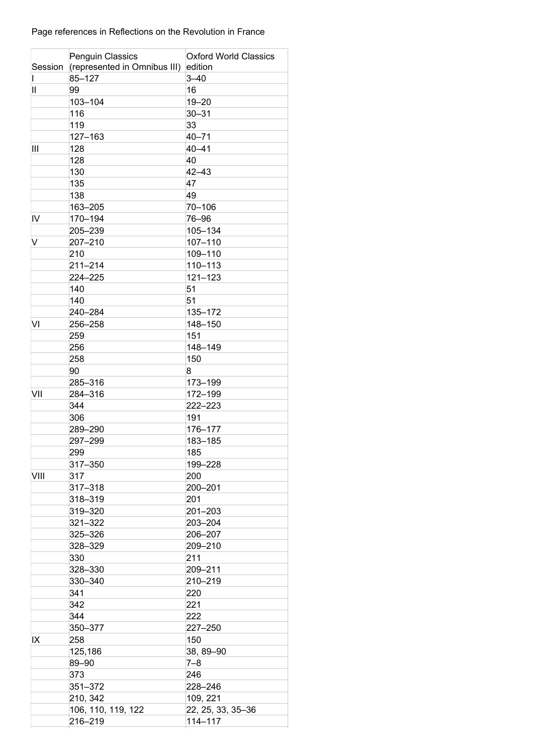## Page references in Reflections on the Revolution in France

|               | <b>Penguin Classics</b>              | <b>Oxford World Classics</b> |
|---------------|--------------------------------------|------------------------------|
| Session       | (represented in Omnibus III) edition |                              |
|               | 85-127                               | $3 - 40$                     |
| $\mathbf{II}$ | 99                                   | 16                           |
|               | 103-104                              | $19 - 20$                    |
|               | 116                                  | $30 - 31$                    |
|               | 119                                  | 33                           |
|               | 127-163                              | $40 - 71$                    |
| Ш             | 128                                  | $40 - 41$                    |
|               | 128                                  | 40                           |
|               | 130                                  | $42 - 43$                    |
|               | 135                                  | 47                           |
|               | 138                                  | 49                           |
|               | 163-205                              | 70-106                       |
| IV            | 170-194                              | 76-96                        |
|               | 205-239                              | 105-134                      |
| V             | 207-210                              | 107-110                      |
|               | 210                                  | 109-110                      |
|               | 211-214                              | 110-113                      |
|               | 224-225                              | $121 - 123$                  |
|               |                                      | 51                           |
|               | 140                                  |                              |
|               | 140                                  | 51                           |
|               | 240-284                              | 135-172                      |
| VI            | 256–258                              | 148-150                      |
|               | 259                                  | 151                          |
|               | 256                                  | 148-149                      |
|               | 258                                  | 150                          |
|               | 90                                   | 8                            |
|               | 285-316                              | 173-199                      |
| VII           | 284-316                              | 172-199                      |
|               | 344                                  | 222-223                      |
|               | 306                                  | 191                          |
|               | 289-290                              | 176-177                      |
|               | 297-299                              | 183-185                      |
|               | 299                                  | 185                          |
|               | 317-350                              | 199-228                      |
| VIII          | 317                                  | 200                          |
|               | 317-318                              | 200-201                      |
|               | 318-319                              | 201                          |
|               | 319-320                              | 201-203                      |
|               | 321-322                              | 203-204                      |
|               | 325-326                              | 206-207                      |
|               | 328-329                              | 209-210                      |
|               | 330                                  | 211                          |
|               | 328-330                              | 209-211                      |
|               | 330-340                              | 210-219                      |
|               | 341                                  | 220                          |
|               | 342                                  | 221                          |
|               | 344                                  | 222                          |
|               | 350-377                              | 227-250                      |
| IX            | 258                                  | 150                          |
|               | 125,186                              | 38, 89-90                    |
|               |                                      |                              |
|               | 89-90                                | $7 - 8$                      |
|               | 373                                  | 246                          |
|               | 351-372                              | 228-246                      |
|               | 210, 342                             | 109, 221                     |
|               | 106, 110, 119, 122                   | 22, 25, 33, 35-36            |
|               | 216-219                              | 114-117                      |